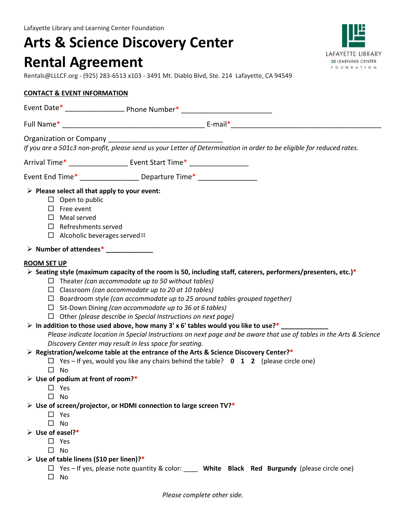# **Arts & Science Discovery Center Rental Agreement**

Rentals@LLLCF.org - (925) 283-6513 x103 - 3491 Mt. Diablo Blvd, Ste. 214 Lafayette, CA 94549

### **CONTACT & EVENT INFORMATION**

|                                 | Organization or Company<br>If you are a 501c3 non-profit, please send us your Letter of Determination in order to be eligible for reduced rates.                                                                                                                                                                                                                                                                                                                                 |
|---------------------------------|----------------------------------------------------------------------------------------------------------------------------------------------------------------------------------------------------------------------------------------------------------------------------------------------------------------------------------------------------------------------------------------------------------------------------------------------------------------------------------|
|                                 | Arrival Time* _____________________ Event Start Time* ____________________                                                                                                                                                                                                                                                                                                                                                                                                       |
|                                 | Event End Time* ___________________ Departure Time* ____________________________                                                                                                                                                                                                                                                                                                                                                                                                 |
|                                 | $\triangleright$ Please select all that apply to your event:<br>$\Box$ Open to public<br>$\Box$ Free event<br>$\Box$ Meal served<br>$\Box$ Refreshments served<br>$\Box$ Alcoholic beverages served $\boxtimes$                                                                                                                                                                                                                                                                  |
|                                 |                                                                                                                                                                                                                                                                                                                                                                                                                                                                                  |
| <b>ROOM SET UP</b>              |                                                                                                                                                                                                                                                                                                                                                                                                                                                                                  |
|                                 | $\triangleright$ Seating style (maximum capacity of the room is 50, including staff, caterers, performers/presenters, etc.)*<br>$\Box$ Theater (can accommodate up to 50 without tables)<br>$\Box$ Classroom (can accommodate up to 20 at 10 tables)<br>$\Box$ Boardroom style (can accommodate up to 25 around tables grouped together)<br>$\Box$ Sit-Down Dining (can accommodate up to 36 at 6 tables)<br>$\Box$ Other (please describe in Special Instructions on next page) |
|                                 | $\triangleright$ In addition to those used above, how many 3' x 6' tables would you like to use?*<br>Please indicate location in Special Instructions on next page and be aware that use of tables in the Arts & Science<br>Discovery Center may result in less space for seating.                                                                                                                                                                                               |
|                                 | $\triangleright$ Registration/welcome table at the entrance of the Arts & Science Discovery Center?*<br>$\Box$ Yes – If yes, would you like any chairs behind the table? $\Box$ $\Box$ (please circle one)<br>$\square$ No                                                                                                                                                                                                                                                       |
|                                 | $\triangleright$ Use of podium at front of room?*<br>$\Box$ Yes<br>$\square$ No                                                                                                                                                                                                                                                                                                                                                                                                  |
|                                 | $\triangleright$ Use of screen/projector, or HDMI connection to large screen TV?*<br>$\square$ Yes<br>$\square$ No                                                                                                                                                                                                                                                                                                                                                               |
| $\triangleright$ Use of easel?* | $\Box$ Yes<br>$\square$ No                                                                                                                                                                                                                                                                                                                                                                                                                                                       |
|                                 | $\triangleright$ Use of table linens (\$10 per linen)?*<br>$\Box$ Yes - If yes, please note quantity & color: ____ White Black Red Burgundy (please circle one)<br>$\square$ No                                                                                                                                                                                                                                                                                                  |



*Please complete other side.*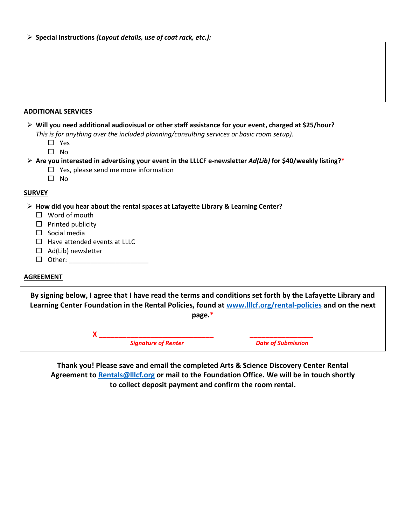### **ADDITIONAL SERVICES**

| $\triangleright$ Will you need additional audiovisual or other staff assistance for your event, charged at \$25/hour? |
|-----------------------------------------------------------------------------------------------------------------------|
| This is for anything over the included planning/consulting services or basic room setup).                             |

□ Yes

 $\square$  No

### **Are you interested in advertising your event in the LLLCF e-newsletter** *Ad(Lib)* **for \$40/weekly listing?\***

 $\Box$  Yes, please send me more information

 $\square$  No

### **SURVEY**

### **How did you hear about the rental spaces at Lafayette Library & Learning Center?**

- □ Word of mouth
- $\Box$  Printed publicity
- $\square$  Social media
- $\Box$  Have attended events at LLLC
- $\Box$  Ad(Lib) newsletter
- $\Box$  Other:

### **AGREEMENT**

**By signing below, I agree that I have read the terms and conditions set forth by the Lafayette Library and Learning Center Foundation in the Rental Policies, found at [www.lllcf.org/rental-policies](file:///C:/Users/elizabeth.orcutt/Documents/Rental%20Agreements/www.lllcf.org/rental-policies) and on the next page.\***

**X \_\_\_\_\_\_\_\_\_\_\_\_\_\_\_\_\_\_\_\_\_\_\_\_\_\_\_\_\_ \_\_\_\_\_\_\_\_\_\_\_\_\_\_\_\_**

*Signature of Renter CONDREGALLER CONDREGALLER Date of Submission* 

**Thank you! Please save and email the completed Arts & Science Discovery Center Rental Agreement to [Rentals@lllcf.org](mailto:Rentals@lllcf.org) or mail to the Foundation Office. We will be in touch shortly to collect deposit payment and confirm the room rental.**